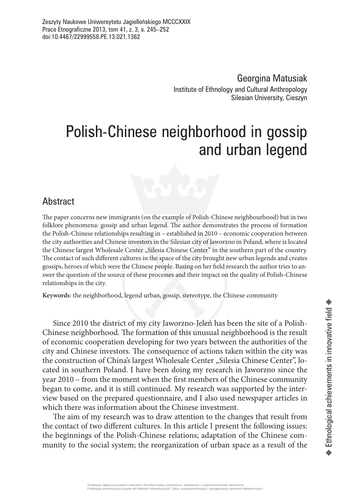Georgina Matusiak Institute of Ethnology and Cultural Anthropology Silesian University, Cieszyn

## Polish-Chinese neighborhood in gossip and urban legend

## Abstract

The paper concerns new immigrants (on the example of Polish-Chinese neighbourhood) but in two folklore phenomena: gossip and urban legend. The author demonstrates the process of formation the Polish-Chinese relationships resulting in – established in 2010 – economic cooperation between the city authorities and Chinese investors in the Silesian city of Jaworzno in Poland, where is located the Chinese largest Wholesale Center "Silesia Chinese Center" in the southern part of the country. The contact of such different cultures in the space of the city brought new urban legends and creates gossips, heroes of which were the Chinese people. Basing on her field research the author tries to answer the question of the source of these processes and their impact on the quality of Polish-Chinese relationships in the city.

**Keywords**: the neighborhood, legend urban, gossip, stereotype, the Chinese community

Since 2010 the district of my city Jaworzno-Jeleń has been the site of a Polish-Chinese neighborhood. The formation of this unusual neighborhood is the result of economic cooperation developing for two years between the authorities of the city and Chinese investors. The consequence of actions taken within the city was the construction of China's largest Wholesale Center "Silesia Chinese Center", located in southern Poland. I have been doing my research in Jaworzno since the year 2010 – from the moment when the first members of the Chinese community began to come, and it is still continued. My research was supported by the interview based on the prepared questionnaire, and I also used newspaper articles in which there was information about the Chinese investment.

The aim of my research was to draw attention to the changes that result from the contact of two different cultures. In this article I present the following issues: the beginnings of the Polish-Chinese relations; adaptation of the Chinese community to the social system; the reorganization of urban space as a result of the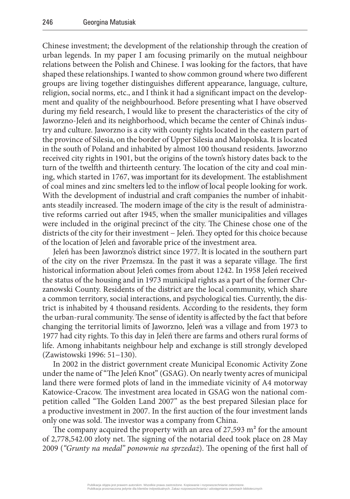Chinese investment; the development of the relationship through the creation of urban legends. In my paper I am focusing primarily on the mutual neighbour relations between the Polish and Chinese. I was looking for the factors, that have shaped these relationships. I wanted to show common ground where two different groups are living together distinguishes different appearance, language, culture, religion, social norms, etc., and I think it had a significant impact on the development and quality of the neighbourhood. Before presenting what I have observed during my field research, I would like to present the characteristics of the city of Jaworzno-Jeleń and its neighborhood, which became the center of China's industry and culture. Jaworzno is a city with county rights located in the eastern part of the province of Silesia, on the border of Upper Silesia and Małopolska. It is located in the south of Poland and inhabited by almost 100 thousand residents. Jaworzno received city rights in 1901, but the origins of the town's history dates back to the turn of the twelfth and thirteenth century. The location of the city and coal mining, which started in 1767, was important for its development. The establishment of coal mines and zinc smelters led to the inflow of local people looking for work. With the development of industrial and craft companies the number of inhabitants steadily increased. The modern image of the city is the result of administrative reforms carried out after 1945, when the smaller municipalities and villages were included in the original precinct of the city. The Chinese chose one of the districts of the city for their investment − Jeleń. They opted for this choice because of the location of Jeleń and favorable price of the investment area.

Jeleń has been Jaworzno's district since 1977. It is located in the southern part of the city on the river Przemsza. In the past it was a separate village. The first historical information about Jeleń comes from about 1242. In 1958 Jeleń received the status of the housing and in 1973 municipal rights as a part of the former Chrzanowski County. Residents of the district are the local community, which share a common territory, social interactions, and psychological ties. Currently, the district is inhabited by 4 thousand residents. According to the residents, they form the urban-rural community. The sense of identity is affected by the fact that before changing the territorial limits of Jaworzno, Jeleń was a village and from 1973 to 1977 had city rights. To this day in Jeleń there are farms and others rural forms of life. Among inhabitants neighbour help and exchange is still strongly developed (Zawistowski 1996: 51−130).

In 2002 in the district government create Municipal Economic Activity Zone under the name of "The Jeleń Knot" (GSAG). On nearly twenty acres of municipal land there were formed plots of land in the immediate vicinity of A4 motorway Katowice-Cracow. The investment area located in GSAG won the national competition called "The Golden Land 2007" as the best prepared Silesian place for a productive investment in 2007. In the first auction of the four investment lands only one was sold. The investor was a company from China.

The company acquired the property with an area of  $27,593$  m<sup>2</sup> for the amount of 2,778,542.00 zloty net. The signing of the notarial deed took place on 28 May 2009 (*"Grunty na medal" ponownie na sprzedaż*). The opening of the first hall of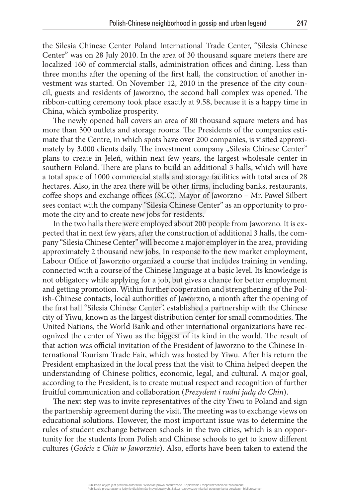the Silesia Chinese Center Poland International Trade Center, "Silesia Chinese Center" was on 28 July 2010. In the area of 30 thousand square meters there are localized 160 of commercial stalls, administration offices and dining. Less than three months after the opening of the first hall, the construction of another investment was started. On November 12, 2010 in the presence of the city council, guests and residents of Jaworzno, the second hall complex was opened. The ribbon-cutting ceremony took place exactly at 9.58, because it is a happy time in China, which symbolize prosperity.

The newly opened hall covers an area of 80 thousand square meters and has more than 300 outlets and storage rooms. The Presidents of the companies estimate that the Centre, in which spots have over 200 companies, is visited approximately by 3,000 clients daily. The investment company "Silesia Chinese Center" plans to create in Jeleń, within next few years, the largest wholesale center in southern Poland. There are plans to build an additional 3 halls, which will have a total space of 1000 commercial stalls and storage facilities with total area of 28 hectares. Also, in the area there will be other firms, including banks, restaurants, coffee shops and exchange offices (SCC). Mayor of Jaworzno – Mr. Paweł Silbert sees contact with the company "Silesia Chinese Center" as an opportunity to promote the city and to create new jobs for residents.

In the two halls there were employed about 200 people from Jaworzno. It is expected that in next few years, after the construction of additional 3 halls, the company "Silesia Chinese Center" will become a major employer in the area, providing approximately 2 thousand new jobs. In response to the new market employment, Labour Office of Jaworzno organized a course that includes training in vending, connected with a course of the Chinese language at a basic level. Its knowledge is not obligatory while applying for a job, but gives a chance for better employment and getting promotion. Within further cooperation and strengthening of the Polish-Chinese contacts, local authorities of Jaworzno, a month after the opening of the first hall "Silesia Chinese Center", established a partnership with the Chinese city of Yiwu, known as the largest distribution center for small commodities. The United Nations, the World Bank and other international organizations have recognized the center of Yiwu as the biggest of its kind in the world. The result of that action was official invitation of the President of Jaworzno to the Chinese International Tourism Trade Fair, which was hosted by Yiwu. After his return the President emphasized in the local press that the visit to China helped deepen the understanding of Chinese politics, economic, legal, and cultural. A major goal, according to the President, is to create mutual respect and recognition of further fruitful communication and collaboration (*Prezydent i radni jadą do Chin*).

The next step was to invite representatives of the city Yiwu to Poland and sign the partnership agreement during the visit. The meeting was to exchange views on educational solutions. However, the most important issue was to determine the rules of student exchange between schools in the two cities, which is an opportunity for the students from Polish and Chinese schools to get to know different cultures (*Goście z Chin w Jaworznie*). Also, efforts have been taken to extend the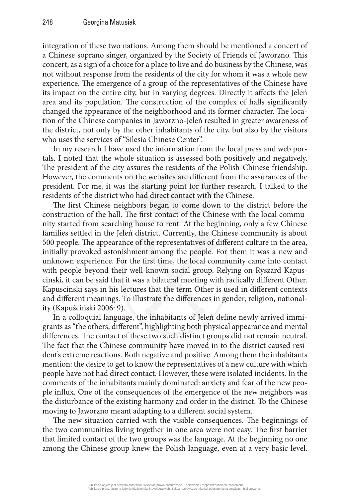integration of these two nations. Among them should be mentioned a concert of a Chinese soprano singer, organized by the Society of Friends of Jaworzno. This concert, as a sign of a choice for a place to live and do business by the Chinese, was not without response from the residents of the city for whom it was a whole new experience. The emergence of a group of the representatives of the Chinese have its impact on the entire city, but in varying degrees. Directly it affects the Jeleń area and its population. The construction of the complex of halls significantly changed the appearance of the neighborhood and its former character. The location of the Chinese companies in Jaworzno-Jeleń resulted in greater awareness of the district, not only by the other inhabitants of the city, but also by the visitors who uses the services of "Silesia Chinese Center".

In my research I have used the information from the local press and web portals. I noted that the whole situation is assessed both positively and negatively. The president of the city assures the residents of the Polish-Chinese friendship. However, the comments on the websites are different from the assurances of the president. For me, it was the starting point for further research. I talked to the residents of the district who had direct contact with the Chinese.

The first Chinese neighbors began to come down to the district before the construction of the hall. The first contact of the Chinese with the local community started from searching house to rent. At the beginning, only a few Chinese families settled in the Jeleń district. Currently, the Chinese community is about 500 people. The appearance of the representatives of different culture in the area, initially provoked astonishment among the people. For them it was a new and unknown experience. For the first time, the local community came into contact with people beyond their well-known social group. Relying on Ryszard Kapuscinski, it can be said that it was a bilateral meeting with radically different Other. Kapuscinski says in his lectures that the term Other is used in different contexts and different meanings. To illustrate the differences in gender, religion, nationality (Kapuściński 2006: 9).

In a colloquial language, the inhabitants of Jeleń define newly arrived immigrants as "the others, different", highlighting both physical appearance and mental differences. The contact of these two such distinct groups did not remain neutral. The fact that the Chinese community have moved in to the district caused resident's extreme reactions. Both negative and positive. Among them the inhabitants mention: the desire to get to know the representatives of a new culture with which people have not had direct contact. However, these were isolated incidents. In the comments of the inhabitants mainly dominated: anxiety and fear of the new people influx. One of the consequences of the emergence of the new neighbors was the disturbance of the existing harmony and order in the district. To the Chinese moving to Jaworzno meant adapting to a different social system.

The new situation carried with the visible consequences. The beginnings of the two communities living together in one area were not easy. The first barrier that limited contact of the two groups was the language. At the beginning no one among the Chinese group knew the Polish language, even at a very basic level.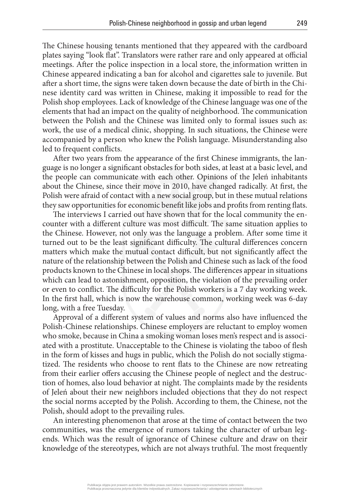The Chinese housing tenants mentioned that they appeared with the cardboard plates saying "look flat". Translators were rather rare and only appeared at official meetings. After the police inspection in a local store, the information written in Chinese appeared indicating a ban for alcohol and cigarettes sale to juvenile. But after a short time, the signs were taken down because the date of birth in the Chinese identity card was written in Chinese, making it impossible to read for the Polish shop employees. Lack of knowledge of the Chinese language was one of the elements that had an impact on the quality of neighborhood. The communication between the Polish and the Chinese was limited only to formal issues such as: work, the use of a medical clinic, shopping. In such situations, the Chinese were accompanied by a person who knew the Polish language. Misunderstanding also led to frequent conflicts.

After two years from the appearance of the first Chinese immigrants, the language is no longer a significant obstacles for both sides, at least at a basic level, and the people can communicate with each other. Opinions of the Jeleń inhabitants about the Chinese, since their move in 2010, have changed radically. At first, the Polish were afraid of contact with a new social group, but in these mutual relations they saw opportunities for economic benefit like jobs and profits from renting flats.

The interviews I carried out have shown that for the local community the encounter with a different culture was most difficult. The same situation applies to the Chinese. However, not only was the language a problem. After some time it turned out to be the least significant difficulty. The cultural differences concern matters which make the mutual contact difficult, but not significantly affect the nature of the relationship between the Polish and Chinese such as lack of the food products known to the Chinese in local shops. The differences appear in situations which can lead to astonishment, opposition, the violation of the prevailing order or even to conflict. The difficulty for the Polish workers is a 7 day working week. In the first hall, which is now the warehouse common, working week was 6-day long, with a free Tuesday.

Approval of a different system of values and norms also have influenced the Polish-Chinese relationships. Chinese employers are reluctant to employ women who smoke, because in China a smoking woman loses men's respect and is associated with a prostitute. Unacceptable to the Chinese is violating the taboo of flesh in the form of kisses and hugs in public, which the Polish do not socially stigmatized. The residents who choose to rent flats to the Chinese are now retreating from their earlier offers accusing the Chinese people of neglect and the destruction of homes, also loud behavior at night. The complaints made by the residents of Jeleń about their new neighbors included objections that they do not respect the social norms accepted by the Polish. According to them, the Chinese, not the Polish, should adopt to the prevailing rules.

An interesting phenomenon that arose at the time of contact between the two communities, was the emergence of rumors taking the character of urban legends. Which was the result of ignorance of Chinese culture and draw on their knowledge of the stereotypes, which are not always truthful. The most frequently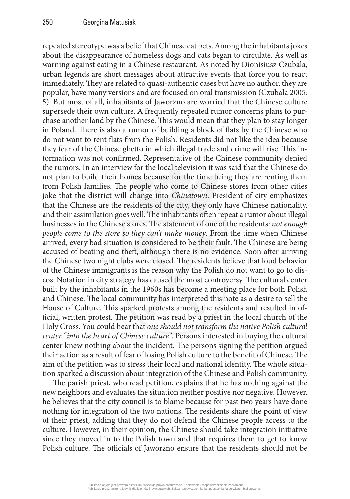repeated stereotype was a belief that Chinese eat pets. Among the inhabitants jokes about the disappearance of homeless dogs and cats began to circulate. As well as warning against eating in a Chinese restaurant. As noted by Dionisiusz Czubala, urban legends are short messages about attractive events that force you to react immediately. They are related to quasi-authentic cases but have no author, they are popular, have many versions and are focused on oral transmission (Czubala 2005: 5). But most of all, inhabitants of Jaworzno are worried that the Chinese culture supersede their own culture. A frequently repeated rumor concerns plans to purchase another land by the Chinese. This would mean that they plan to stay longer in Poland. There is also a rumor of building a block of flats by the Chinese who do not want to rent flats from the Polish. Residents did not like the idea because they fear of the Chinese ghetto in which illegal trade and crime will rise. This information was not confirmed. Representative of the Chinese community denied the rumors. In an interview for the local television it was said that the Chinese do not plan to build their homes because for the time being they are renting them from Polish families. The people who come to Chinese stores from other cities joke that the district will change into *Chinatown*. President of city emphasizes that the Chinese are the residents of the city, they only have Chinese nationality, and their assimilation goes well. The inhabitants often repeat a rumor about illegal businesses in the Chinese stores. The statement of one of the residents: *not enough people come to the store so they can't make money*. From the time when Chinese arrived, every bad situation is considered to be their fault. The Chinese are being accused of beating and theft, although there is no evidence. Soon after arriving the Chinese two night clubs were closed. The residents believe that loud behavior of the Chinese immigrants is the reason why the Polish do not want to go to discos. Notation in city strategy has caused the most controversy. The cultural center built by the inhabitants in the 1960s has become a meeting place for both Polish and Chinese. The local community has interpreted this note as a desire to sell the House of Culture. This sparked protests among the residents and resulted in official, written protest. The petition was read by a priest in the local church of the Holy Cross. You could hear that *one should not transform the native Polish cultural center "into the heart of Chinese culture"*. Persons interested in buying the cultural center knew nothing about the incident. The persons signing the petition argued their action as a result of fear of losing Polish culture to the benefit of Chinese. The aim of the petition was to stress their local and national identity. The whole situation sparked a discussion about integration of the Chinese and Polish community.

The parish priest, who read petition, explains that he has nothing against the new neighbors and evaluates the situation neither positive nor negative. However, he believes that the city council is to blame because for past two years have done nothing for integration of the two nations. The residents share the point of view of their priest, adding that they do not defend the Chinese people access to the culture. However, in their opinion, the Chinese should take integration initiative since they moved in to the Polish town and that requires them to get to know Polish culture. The officials of Jaworzno ensure that the residents should not be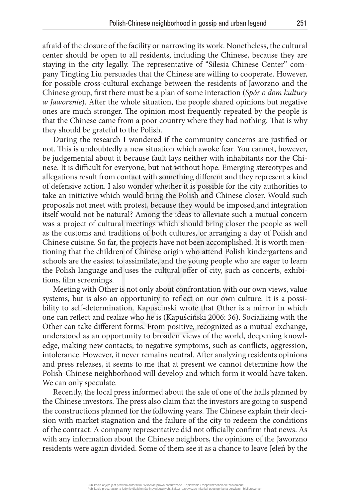afraid of the closure of the facility or narrowing its work. Nonetheless, the cultural center should be open to all residents, including the Chinese, because they are staying in the city legally. The representative of "Silesia Chinese Center" company Tingting Liu persuades that the Chinese are willing to cooperate. However, for possible cross-cultural exchange between the residents of Jaworzno and the Chinese group, first there must be a plan of some interaction (*Spór o dom kultury w Jaworznie*). After the whole situation, the people shared opinions but negative ones are much stronger. The opinion most frequently repeated by the people is that the Chinese came from a poor country where they had nothing. That is why they should be grateful to the Polish.

During the research I wondered if the community concerns are justified or not. This is undoubtedly a new situation which awoke fear. You cannot, however, be judgemental about it because fault lays neither with inhabitants nor the Chinese. It is difficult for everyone, but not without hope. Emerging stereotypes and allegations result from contact with something different and they represent a kind of defensive action. I also wonder whether it is possible for the city authorities to take an initiative which would bring the Polish and Chinese closer. Would such proposals not meet with protest, because they would be imposed,and integration itself would not be natural? Among the ideas to alleviate such a mutual concern was a project of cultural meetings which should bring closer the people as well as the customs and traditions of both cultures, or arranging a day of Polish and Chinese cuisine. So far, the projects have not been accomplished. It is worth mentioning that the children of Chinese origin who attend Polish kindergartens and schools are the easiest to assimilate, and the young people who are eager to learn the Polish language and uses the cultural offer of city, such as concerts, exhibitions, film screenings.

Meeting with Other is not only about confrontation with our own views, value systems, but is also an opportunity to reflect on our own culture. It is a possibility to self-determination. Kapuscinski wrote that Other is a mirror in which one can reflect and realize who he is (Kapuściński 2006: 36). Socializing with the Other can take different forms. From positive, recognized as a mutual exchange, understood as an opportunity to broaden views of the world, deepening knowledge, making new contacts; to negative symptoms, such as conflicts, aggression, intolerance. However, it never remains neutral. After analyzing residents opinions and press releases, it seems to me that at present we cannot determine how the Polish-Chinese neighborhood will develop and which form it would have taken. We can only speculate.

Recently, the local press informed about the sale of one of the halls planned by the Chinese investors. The press also claim that the investors are going to suspend the constructions planned for the following years. The Chinese explain their decision with market stagnation and the failure of the city to redeem the conditions of the contract. A company representative did not officially confirm that news. As with any information about the Chinese neighbors, the opinions of the Jaworzno residents were again divided. Some of them see it as a chance to leave Jeleń by the